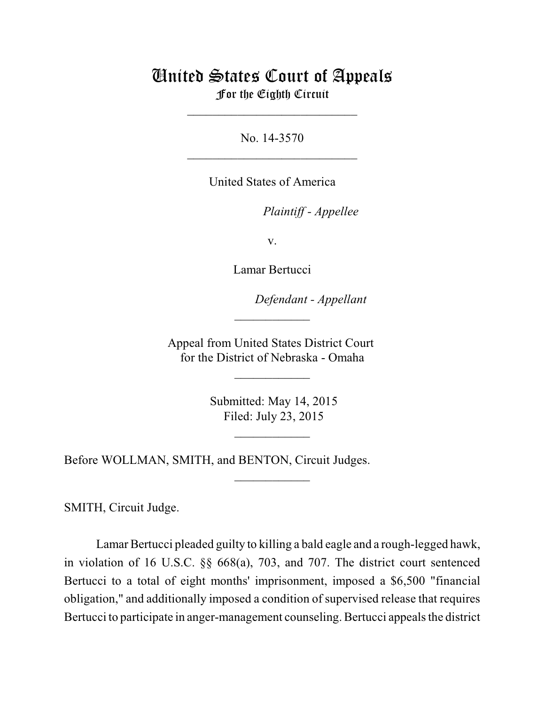# United States Court of Appeals For the Eighth Circuit

\_\_\_\_\_\_\_\_\_\_\_\_\_\_\_\_\_\_\_\_\_\_\_\_\_\_\_

No. 14-3570  $\mathcal{L}_\text{max}$  , which is a set of the set of the set of the set of the set of the set of the set of the set of the set of the set of the set of the set of the set of the set of the set of the set of the set of the set of

United States of America

Plaintiff - Appellee

v.

Lamar Bertucci

lllllllllllllllllllll *Defendant - Appellant*

Appeal from United States District Court for the District of Nebraska - Omaha

 $\overline{\phantom{a}}$  , where  $\overline{\phantom{a}}$ 

 $\frac{1}{2}$ 

 Submitted: May 14, 2015 Filed: July 23, 2015

 $\frac{1}{2}$ 

 $\overline{\phantom{a}}$  , where  $\overline{\phantom{a}}$ 

Before WOLLMAN, SMITH, and BENTON, Circuit Judges.

SMITH, Circuit Judge.

Lamar Bertucci pleaded guilty to killing a bald eagle and a rough-legged hawk, in violation of 16 U.S.C. §§ 668(a), 703, and 707. The district court sentenced Bertucci to a total of eight months' imprisonment, imposed a \$6,500 "financial obligation," and additionally imposed a condition of supervised release that requires Bertucci to participate in anger-management counseling. Bertucci appeals the district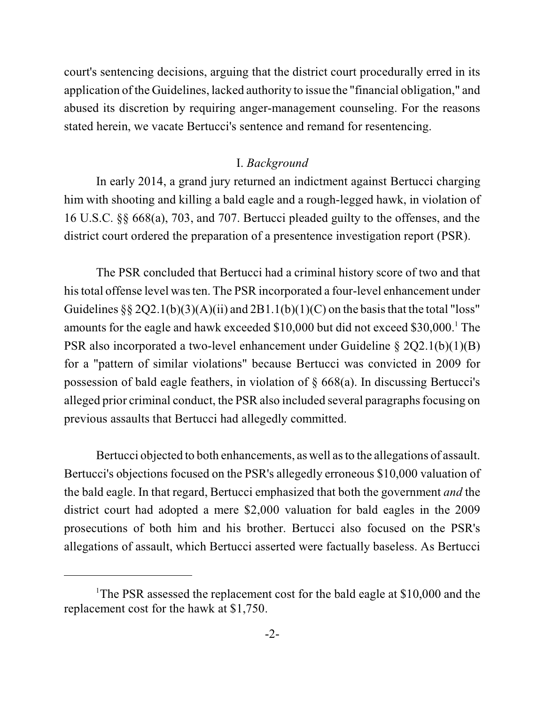court's sentencing decisions, arguing that the district court procedurally erred in its application of the Guidelines, lacked authority to issue the "financial obligation," and abused its discretion by requiring anger-management counseling. For the reasons stated herein, we vacate Bertucci's sentence and remand for resentencing.

#### I. *Background*

In early 2014, a grand jury returned an indictment against Bertucci charging him with shooting and killing a bald eagle and a rough-legged hawk, in violation of 16 U.S.C. §§ 668(a), 703, and 707. Bertucci pleaded guilty to the offenses, and the district court ordered the preparation of a presentence investigation report (PSR).

The PSR concluded that Bertucci had a criminal history score of two and that his total offense level wasten. The PSR incorporated a four-level enhancement under Guidelines  $\S$   $\S$   $2Q$ 2.1(b)(3)(A)(ii) and  $2B1.1(b)(1)(C)$  on the basis that the total "loss" amounts for the eagle and hawk exceeded  $$10,000$  but did not exceed  $$30,000$ .<sup>1</sup> The PSR also incorporated a two-level enhancement under Guideline § 2Q2.1(b)(1)(B) for a "pattern of similar violations" because Bertucci was convicted in 2009 for possession of bald eagle feathers, in violation of § 668(a). In discussing Bertucci's alleged prior criminal conduct, the PSR also included several paragraphs focusing on previous assaults that Bertucci had allegedly committed.

Bertucci objected to both enhancements, as well asto the allegations of assault. Bertucci's objections focused on the PSR's allegedly erroneous \$10,000 valuation of the bald eagle. In that regard, Bertucci emphasized that both the government *and* the district court had adopted a mere \$2,000 valuation for bald eagles in the 2009 prosecutions of both him and his brother. Bertucci also focused on the PSR's allegations of assault, which Bertucci asserted were factually baseless. As Bertucci

<sup>&</sup>lt;sup>1</sup>The PSR assessed the replacement cost for the bald eagle at \$10,000 and the replacement cost for the hawk at \$1,750.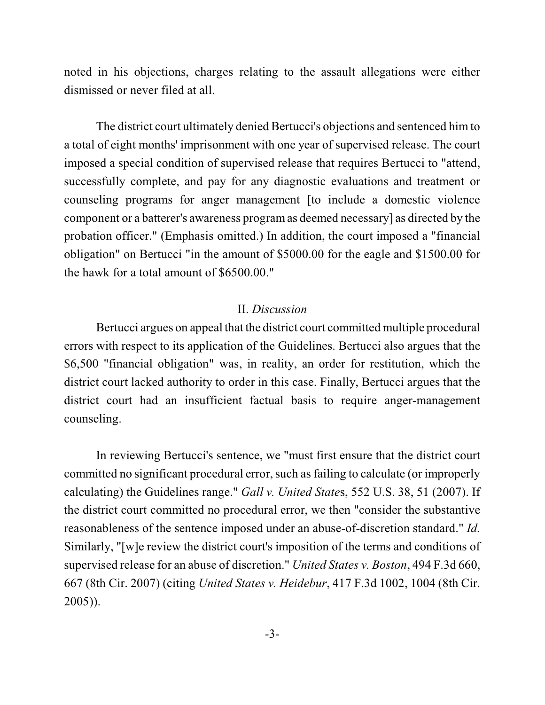noted in his objections, charges relating to the assault allegations were either dismissed or never filed at all.

The district court ultimately denied Bertucci's objections and sentenced him to a total of eight months' imprisonment with one year of supervised release. The court imposed a special condition of supervised release that requires Bertucci to "attend, successfully complete, and pay for any diagnostic evaluations and treatment or counseling programs for anger management [to include a domestic violence component or a batterer's awareness programas deemed necessary] as directed by the probation officer." (Emphasis omitted.) In addition, the court imposed a "financial obligation" on Bertucci "in the amount of \$5000.00 for the eagle and \$1500.00 for the hawk for a total amount of \$6500.00."

#### II. *Discussion*

Bertucci argues on appeal that the district court committed multiple procedural errors with respect to its application of the Guidelines. Bertucci also argues that the \$6,500 "financial obligation" was, in reality, an order for restitution, which the district court lacked authority to order in this case. Finally, Bertucci argues that the district court had an insufficient factual basis to require anger-management counseling.

In reviewing Bertucci's sentence, we "must first ensure that the district court committed no significant procedural error, such asfailing to calculate (or improperly calculating) the Guidelines range." *Gall v. United State*s, 552 U.S. 38, 51 (2007). If the district court committed no procedural error, we then "consider the substantive reasonableness of the sentence imposed under an abuse-of-discretion standard." *Id.* Similarly, "[w]e review the district court's imposition of the terms and conditions of supervised release for an abuse of discretion." *United States v. Boston*, 494 F.3d 660, 667 (8th Cir. 2007) (citing *United States v. Heidebur*, 417 F.3d 1002, 1004 (8th Cir. 2005)).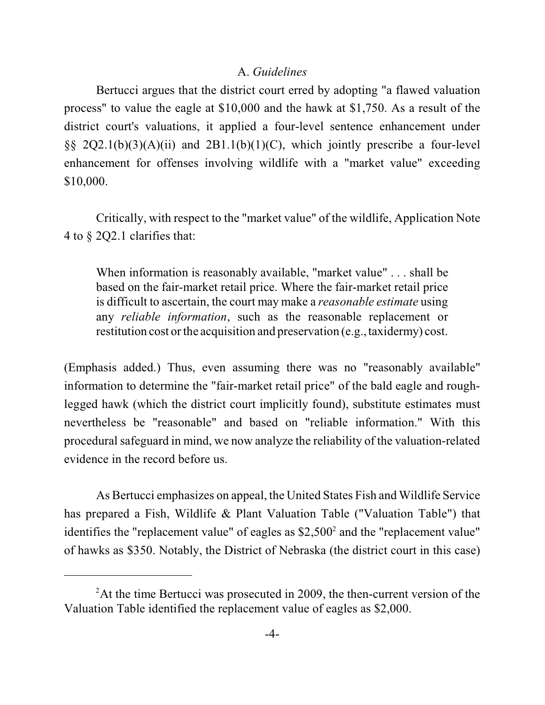# A. *Guidelines*

Bertucci argues that the district court erred by adopting "a flawed valuation process" to value the eagle at \$10,000 and the hawk at \$1,750. As a result of the district court's valuations, it applied a four-level sentence enhancement under §§ 2Q2.1(b)(3)(A)(ii) and 2B1.1(b)(1)(C), which jointly prescribe a four-level enhancement for offenses involving wildlife with a "market value" exceeding \$10,000.

Critically, with respect to the "market value" of the wildlife, Application Note 4 to § 2Q2.1 clarifies that:

When information is reasonably available, "market value" . . . shall be based on the fair-market retail price. Where the fair-market retail price is difficult to ascertain, the court may make a *reasonable estimate* using any *reliable information*, such as the reasonable replacement or restitution cost or the acquisition and preservation (e.g., taxidermy) cost.

(Emphasis added.) Thus, even assuming there was no "reasonably available" information to determine the "fair-market retail price" of the bald eagle and roughlegged hawk (which the district court implicitly found), substitute estimates must nevertheless be "reasonable" and based on "reliable information." With this procedural safeguard in mind, we now analyze the reliability of the valuation-related evidence in the record before us.

As Bertucci emphasizes on appeal, the United States Fish and Wildlife Service has prepared a Fish, Wildlife & Plant Valuation Table ("Valuation Table") that identifies the "replacement value" of eagles as  $$2,500^2$  and the "replacement value" of hawks as \$350. Notably, the District of Nebraska (the district court in this case)

 $2^2$ At the time Bertucci was prosecuted in 2009, the then-current version of the Valuation Table identified the replacement value of eagles as \$2,000.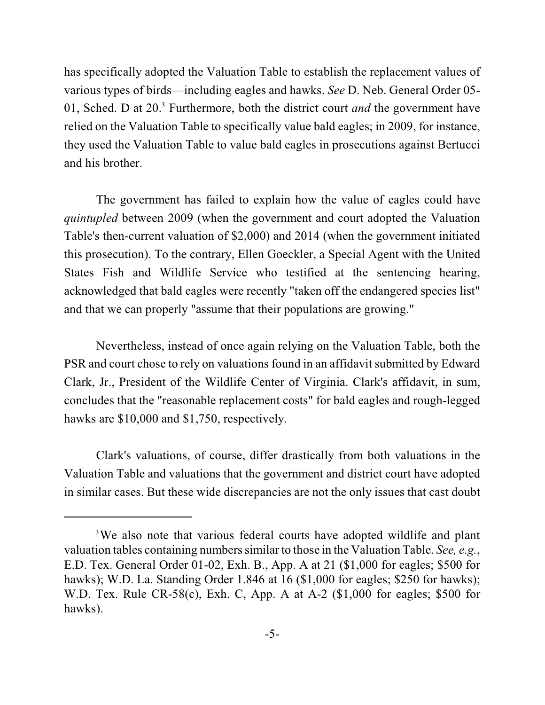has specifically adopted the Valuation Table to establish the replacement values of various types of birds—including eagles and hawks. *See* D. Neb. General Order 05- 01, Sched. D at 20.<sup>3</sup> Furthermore, both the district court *and* the government have relied on the Valuation Table to specifically value bald eagles; in 2009, for instance, they used the Valuation Table to value bald eagles in prosecutions against Bertucci and his brother.

The government has failed to explain how the value of eagles could have *quintupled* between 2009 (when the government and court adopted the Valuation Table's then-current valuation of \$2,000) and 2014 (when the government initiated this prosecution). To the contrary, Ellen Goeckler, a Special Agent with the United States Fish and Wildlife Service who testified at the sentencing hearing, acknowledged that bald eagles were recently "taken off the endangered species list" and that we can properly "assume that their populations are growing."

Nevertheless, instead of once again relying on the Valuation Table, both the PSR and court chose to rely on valuations found in an affidavit submitted by Edward Clark, Jr., President of the Wildlife Center of Virginia. Clark's affidavit, in sum, concludes that the "reasonable replacement costs" for bald eagles and rough-legged hawks are \$10,000 and \$1,750, respectively.

Clark's valuations, of course, differ drastically from both valuations in the Valuation Table and valuations that the government and district court have adopted in similar cases. But these wide discrepancies are not the only issues that cast doubt

<sup>&</sup>lt;sup>3</sup>We also note that various federal courts have adopted wildlife and plant valuation tables containing numberssimilar to those in the Valuation Table. *See, e.g.*, E.D. Tex. General Order 01-02, Exh. B., App. A at 21 (\$1,000 for eagles; \$500 for hawks); W.D. La. Standing Order 1.846 at 16 (\$1,000 for eagles; \$250 for hawks); W.D. Tex. Rule CR-58(c), Exh. C, App. A at A-2 (\$1,000 for eagles; \$500 for hawks).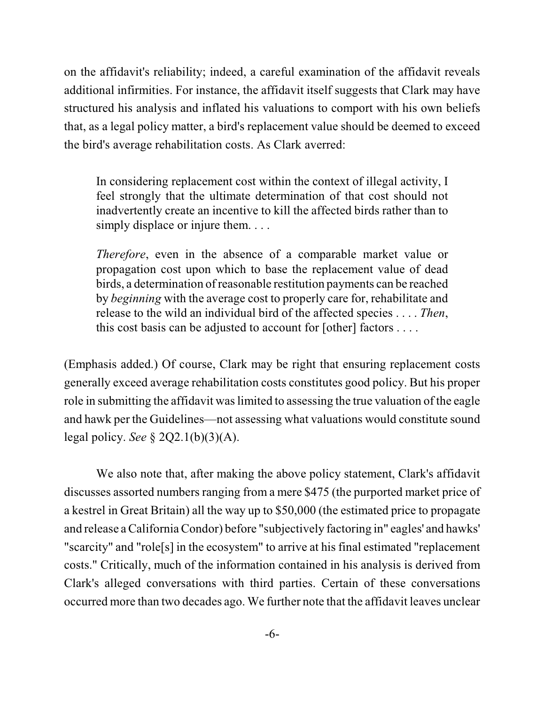on the affidavit's reliability; indeed, a careful examination of the affidavit reveals additional infirmities. For instance, the affidavit itself suggests that Clark may have structured his analysis and inflated his valuations to comport with his own beliefs that, as a legal policy matter, a bird's replacement value should be deemed to exceed the bird's average rehabilitation costs. As Clark averred:

In considering replacement cost within the context of illegal activity, I feel strongly that the ultimate determination of that cost should not inadvertently create an incentive to kill the affected birds rather than to simply displace or injure them. . . .

*Therefore*, even in the absence of a comparable market value or propagation cost upon which to base the replacement value of dead birds, a determination ofreasonable restitution payments can be reached by *beginning* with the average cost to properly care for, rehabilitate and release to the wild an individual bird of the affected species . . . . *Then*, this cost basis can be adjusted to account for [other] factors . . . .

(Emphasis added.) Of course, Clark may be right that ensuring replacement costs generally exceed average rehabilitation costs constitutes good policy. But his proper role in submitting the affidavit was limited to assessing the true valuation of the eagle and hawk per the Guidelines—not assessing what valuations would constitute sound legal policy. *See* § 2Q2.1(b)(3)(A).

We also note that, after making the above policy statement, Clark's affidavit discusses assorted numbers ranging from a mere \$475 (the purported market price of a kestrel in Great Britain) all the way up to \$50,000 (the estimated price to propagate and release a CaliforniaCondor) before "subjectively factoring in" eagles' and hawks' "scarcity" and "role[s] in the ecosystem" to arrive at his final estimated "replacement costs." Critically, much of the information contained in his analysis is derived from Clark's alleged conversations with third parties. Certain of these conversations occurred more than two decades ago. We further note that the affidavit leaves unclear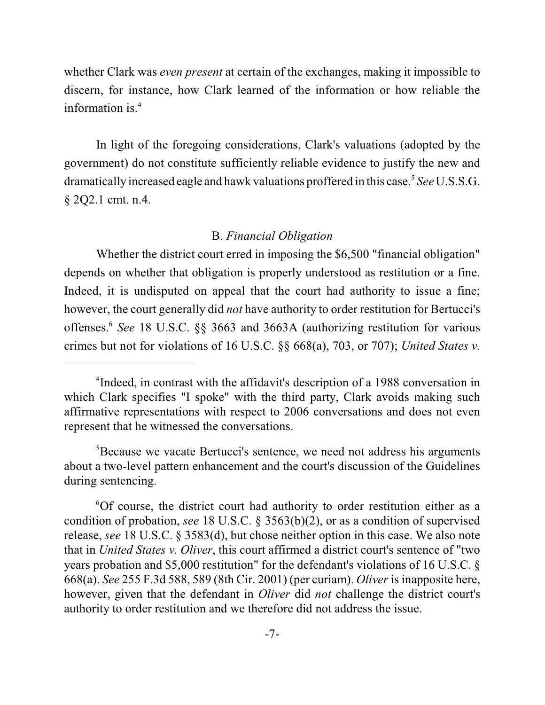whether Clark was *even present* at certain of the exchanges, making it impossible to discern, for instance, how Clark learned of the information or how reliable the information is. $4$ 

In light of the foregoing considerations, Clark's valuations (adopted by the government) do not constitute sufficiently reliable evidence to justify the new and dramatically increased eagle and hawk valuations proffered in this case.<sup>5</sup> See U.S.S.G. § 2Q2.1 cmt. n.4.

## B. *Financial Obligation*

Whether the district court erred in imposing the \$6,500 "financial obligation" depends on whether that obligation is properly understood as restitution or a fine. Indeed, it is undisputed on appeal that the court had authority to issue a fine; however, the court generally did *not* have authority to order restitution for Bertucci's offenses.<sup>6</sup> See 18 U.S.C. §§ 3663 and 3663A (authorizing restitution for various crimes but not for violations of 16 U.S.C. §§ 668(a), 703, or 707); *United States v.*

 ${}^{5}$ Because we vacate Bertucci's sentence, we need not address his arguments about a two-level pattern enhancement and the court's discussion of the Guidelines during sentencing.

 ${}^{6}$ Of course, the district court had authority to order restitution either as a condition of probation, *see* 18 U.S.C. § 3563(b)(2), or as a condition of supervised release, *see* 18 U.S.C. § 3583(d), but chose neither option in this case. We also note that in *United States v. Oliver*, this court affirmed a district court's sentence of "two years probation and \$5,000 restitution" for the defendant's violations of 16 U.S.C. § 668(a). *See* 255 F.3d 588, 589 (8th Cir. 2001) (per curiam). *Oliver* is inapposite here, however, given that the defendant in *Oliver* did *not* challenge the district court's authority to order restitution and we therefore did not address the issue.

<sup>&</sup>lt;sup>4</sup>Indeed, in contrast with the affidavit's description of a 1988 conversation in which Clark specifies "I spoke" with the third party, Clark avoids making such affirmative representations with respect to 2006 conversations and does not even represent that he witnessed the conversations.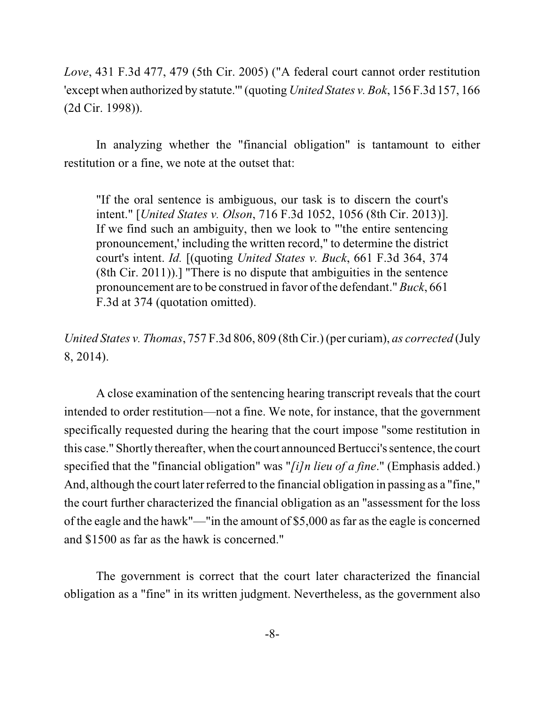*Love*, 431 F.3d 477, 479 (5th Cir. 2005) ("A federal court cannot order restitution 'except when authorized by statute.'" (quoting *United States v. Bok*, 156 F.3d 157, 166 (2d Cir. 1998)).

In analyzing whether the "financial obligation" is tantamount to either restitution or a fine, we note at the outset that:

"If the oral sentence is ambiguous, our task is to discern the court's intent." [*United States v. Olson*, 716 F.3d 1052, 1056 (8th Cir. 2013)]. If we find such an ambiguity, then we look to "'the entire sentencing pronouncement,' including the written record," to determine the district court's intent. *Id.* [(quoting *United States v. Buck*, 661 F.3d 364, 374 (8th Cir. 2011)).] "There is no dispute that ambiguities in the sentence pronouncement are to be construed in favor of the defendant." *Buck*, 661 F.3d at 374 (quotation omitted).

*United States v. Thomas*, 757 F.3d 806, 809 (8th Cir.) (per curiam), *as corrected* (July 8, 2014).

A close examination of the sentencing hearing transcript reveals that the court intended to order restitution—not a fine. We note, for instance, that the government specifically requested during the hearing that the court impose "some restitution in this case." Shortly thereafter, when the court announced Bertucci's sentence, the court specified that the "financial obligation" was "*[i]n lieu of a fine*." (Emphasis added.) And, although the court later referred to the financial obligation in passing as a "fine," the court further characterized the financial obligation as an "assessment for the loss of the eagle and the hawk"—"in the amount of \$5,000 as far as the eagle is concerned and \$1500 as far as the hawk is concerned."

The government is correct that the court later characterized the financial obligation as a "fine" in its written judgment. Nevertheless, as the government also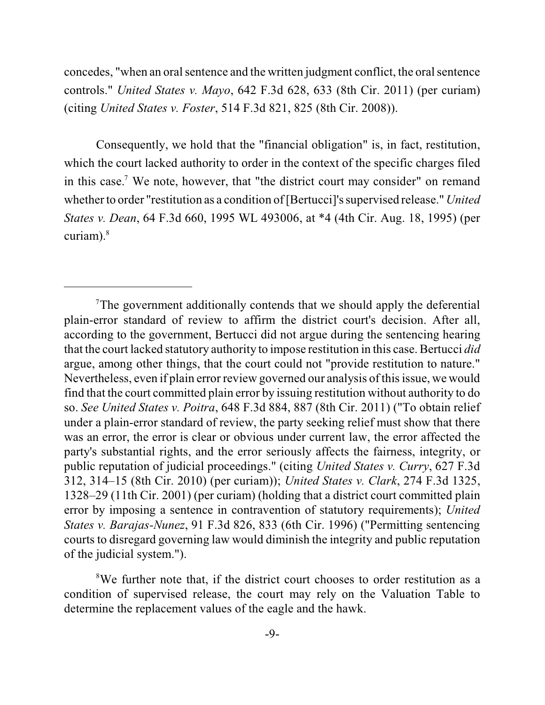concedes, "when an oral sentence and the written judgment conflict, the oral sentence controls." *United States v. Mayo*, 642 F.3d 628, 633 (8th Cir. 2011) (per curiam) (citing *United States v. Foster*, 514 F.3d 821, 825 (8th Cir. 2008)).

Consequently, we hold that the "financial obligation" is, in fact, restitution, which the court lacked authority to order in the context of the specific charges filed in this case.<sup>7</sup> We note, however, that "the district court may consider" on remand whether to order "restitution as a condition of[Bertucci]'s supervised release." *United States v. Dean*, 64 F.3d 660, 1995 WL 493006, at \*4 (4th Cir. Aug. 18, 1995) (per curiam).<sup>8</sup>

 $T$ The government additionally contends that we should apply the deferential plain-error standard of review to affirm the district court's decision. After all, according to the government, Bertucci did not argue during the sentencing hearing that the court lacked statutory authority to impose restitution in this case. Bertucci *did* argue, among other things, that the court could not "provide restitution to nature." Nevertheless, even if plain error review governed our analysis of this issue, we would find that the court committed plain error by issuing restitution without authority to do so. *See United States v. Poitra*, 648 F.3d 884, 887 (8th Cir. 2011) ("To obtain relief under a plain-error standard of review, the party seeking relief must show that there was an error, the error is clear or obvious under current law, the error affected the party's substantial rights, and the error seriously affects the fairness, integrity, or public reputation of judicial proceedings." (citing *United States v. Curry*, 627 F.3d 312, 314–15 (8th Cir. 2010) (per curiam)); *United States v. Clark*, 274 F.3d 1325, 1328–29 (11th Cir. 2001) (per curiam) (holding that a district court committed plain error by imposing a sentence in contravention of statutory requirements); *United States v. Barajas-Nunez*, 91 F.3d 826, 833 (6th Cir. 1996) ("Permitting sentencing courts to disregard governing law would diminish the integrity and public reputation of the judicial system.").

<sup>&</sup>lt;sup>8</sup>We further note that, if the district court chooses to order restitution as a condition of supervised release, the court may rely on the Valuation Table to determine the replacement values of the eagle and the hawk.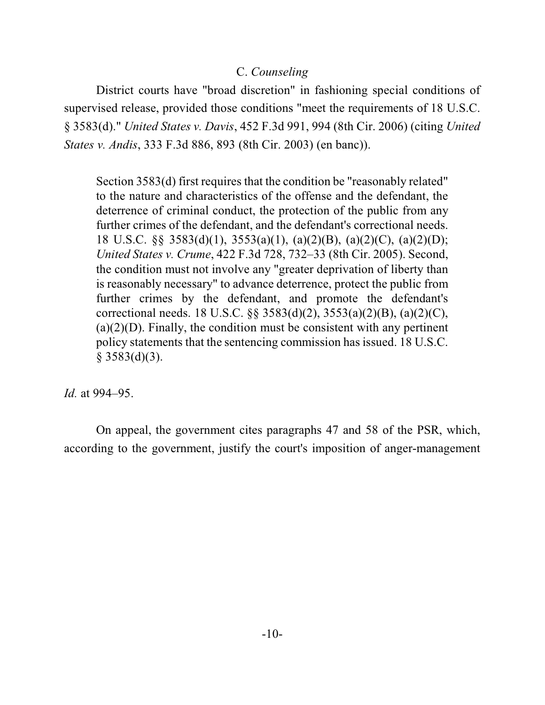# C. *Counseling*

District courts have "broad discretion" in fashioning special conditions of supervised release, provided those conditions "meet the requirements of 18 U.S.C. § 3583(d)." *United States v. Davis*, 452 F.3d 991, 994 (8th Cir. 2006) (citing *United States v. Andis*, 333 F.3d 886, 893 (8th Cir. 2003) (en banc)).

Section 3583(d) first requires that the condition be "reasonably related" to the nature and characteristics of the offense and the defendant, the deterrence of criminal conduct, the protection of the public from any further crimes of the defendant, and the defendant's correctional needs. 18 U.S.C. §§ 3583(d)(1), 3553(a)(1), (a)(2)(B), (a)(2)(C), (a)(2)(D); *United States v. Crume*, 422 F.3d 728, 732–33 (8th Cir. 2005). Second, the condition must not involve any "greater deprivation of liberty than is reasonably necessary" to advance deterrence, protect the public from further crimes by the defendant, and promote the defendant's correctional needs. 18 U.S.C. §§ 3583(d)(2), 3553(a)(2)(B), (a)(2)(C),  $(a)(2)(D)$ . Finally, the condition must be consistent with any pertinent policy statements that the sentencing commission has issued. 18 U.S.C.  $§$  3583(d)(3).

*Id.* at 994–95.

On appeal, the government cites paragraphs 47 and 58 of the PSR, which, according to the government, justify the court's imposition of anger-management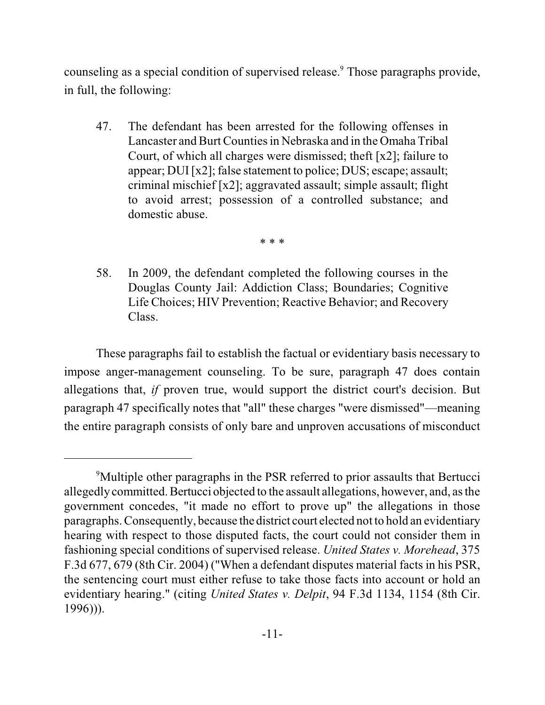counseling as a special condition of supervised release.<sup>9</sup> Those paragraphs provide, in full, the following:

47. The defendant has been arrested for the following offenses in Lancaster and Burt Countiesin Nebraska and in the Omaha Tribal Court, of which all charges were dismissed; theft [x2]; failure to appear; DUI [x2]; false statement to police; DUS; escape; assault; criminal mischief [x2]; aggravated assault; simple assault; flight to avoid arrest; possession of a controlled substance; and domestic abuse.

\* \* \*

58. In 2009, the defendant completed the following courses in the Douglas County Jail: Addiction Class; Boundaries; Cognitive Life Choices; HIV Prevention; Reactive Behavior; and Recovery Class.

These paragraphs fail to establish the factual or evidentiary basis necessary to impose anger-management counseling. To be sure, paragraph 47 does contain allegations that, *if* proven true, would support the district court's decision. But paragraph 47 specifically notes that "all" these charges "were dismissed"—meaning the entire paragraph consists of only bare and unproven accusations of misconduct

<sup>&</sup>lt;sup>9</sup>Multiple other paragraphs in the PSR referred to prior assaults that Bertucci allegedly committed. Bertucci objected to the assault allegations, however, and, asthe government concedes, "it made no effort to prove up" the allegations in those paragraphs. Consequently, because the district court elected not to hold an evidentiary hearing with respect to those disputed facts, the court could not consider them in fashioning special conditions of supervised release. *United States v. Morehead*, 375 F.3d 677, 679 (8th Cir. 2004) ("When a defendant disputes material facts in his PSR, the sentencing court must either refuse to take those facts into account or hold an evidentiary hearing." (citing *United States v. Delpit*, 94 F.3d 1134, 1154 (8th Cir. 1996))).